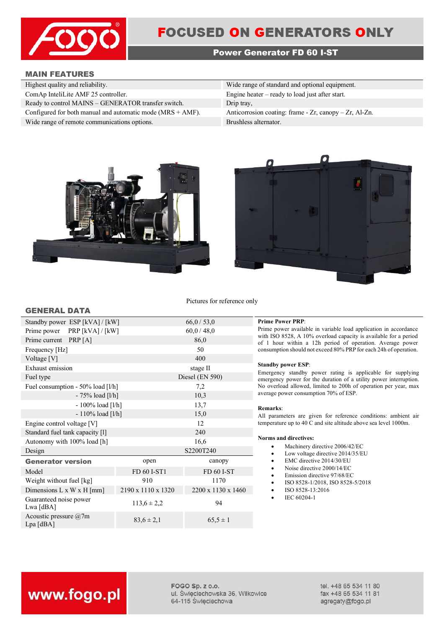

## **FOCUSED ON GENERATORS ONLY**

### **Power Generator FD 60 I-ST**

### **MAIN FEATURES**

| Highest quality and reliability.                              | Wide range of standard and optional equipment.               |
|---------------------------------------------------------------|--------------------------------------------------------------|
| ComAp InteliLite AMF 25 controller.                           | Engine heater $-$ ready to load just after start.            |
| Ready to control MAINS - GENERATOR transfer switch.           | Drip tray,                                                   |
| Configured for both manual and automatic mode $(MRS + AMF)$ . | Anticorrosion coating: frame - $Zr$ , canopy - $Zr$ , Al-Zn. |
| Wide range of remote communications options.                  | Brushless alternator.                                        |





Pictures for reference only

| Standby power ESP [kVA] / [kW]               |                    | 66,0/53,0          |
|----------------------------------------------|--------------------|--------------------|
| $PRP$ [kVA] / [kW]<br>Prime power            |                    | 60,0/48,0          |
| Prime current PRP [A]                        |                    | 86,0               |
| Frequency [Hz]                               |                    | 50                 |
| Voltage [V]                                  |                    | 400                |
| Exhaust emission                             |                    | stage II           |
| Fuel type                                    |                    | Diesel (EN 590)    |
| Fuel consumption - 50% load [l/h]            |                    | 7,2                |
| $-75%$ load [l/h]                            |                    | 10,3               |
| $-100\%$ load [l/h]                          |                    | 13,7               |
| $-110\%$ load [l/h]                          |                    | 15,0               |
| Engine control voltage [V]                   |                    | 12                 |
| Standard fuel tank capacity [1]              |                    | 240                |
| Autonomy with 100% load [h]                  |                    | 16,6               |
| Design                                       |                    | S2200T240          |
| <b>Generator version</b>                     | open               | canopy             |
| Model                                        | FD 60 I-ST1        | FD 60 I-ST         |
| Weight without fuel [kg]                     | 910                | 1170               |
| Dimensions $L \times W \times H$ [mm]        | 2190 x 1110 x 1320 | 2200 x 1130 x 1460 |
| Guaranteed noise power<br>Lwa [dBA]          | $113.6 \pm 2.2$    | 94                 |
| Acoustic pressure $\omega$ 7m<br>$Lpa$ [dBA] | $83,6 \pm 2,1$     | $65,5 \pm 1$       |

### **Prime Power PRP:**

Prime power available in variable load application in accordance with ISO 8528, A 10% overload capacity is available for a period of 1 hour within a 12h period of operation. Average power consumption should not exceed 80% PRP for each 24h of operation.

### **Standby power ESP**:

Emergency standby power rating is applicable for supplying emergency power for the duration of a utility power interruption. No overload allowed, limited to 200h of operation per year, max average power consumption 70% of ESP.

### **Remarks**:

All parameters are given for reference conditions: ambient air temperature up to 40 C and site altitude above sea level 1000m.

### **Norms and directives:**

- Machinery directive 2006/42/EC
- Low voltage directive 2014/35/EU
- EMC directive 2014/30/EU
- Noise directive 2000/14/EC
- Emission directive 97/68/EC
- ISO 8528-1/2018, ISO 8528-5/2018
- ISO 8528-13:2016
- IEC 60204-1

# www.fogo.pl

FOGO Sp. z o.o. ul. Świeciechowska 36, Wilkowice 64-115 Święciechowa

tel. +48 65 534 11 80 fax +48 65 534 11 81 agregaty@fogo.pl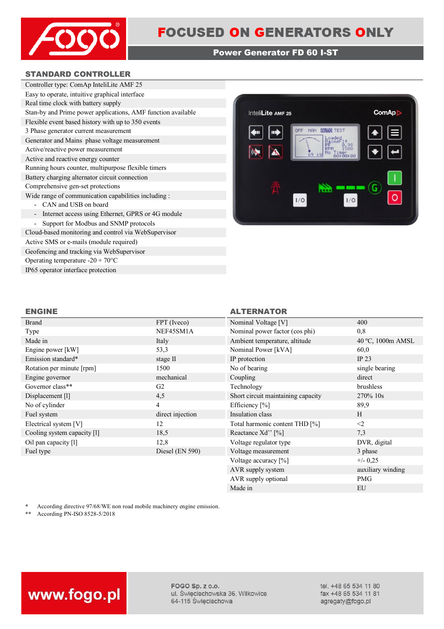

### **Power Generator FD 60 I-ST**

### **STANDARD CONTROLLER**

| Controller type: ComAp InteliLite AMF 25                                      |
|-------------------------------------------------------------------------------|
| Easy to operate, intuitive graphical interface                                |
| Real time clock with battery supply                                           |
| Stan-by and Prime power applications, AMF function available                  |
| Flexible event based history with up to 350 events                            |
| 3 Phase generator current measurement                                         |
| Generator and Mains phase voltage measurement                                 |
| Active/reactive power measurement                                             |
| Active and reactive energy counter                                            |
| Running hours counter, multipurpose flexible timers                           |
| Battery charging alternator circuit connection                                |
| Comprehensive gen-set protections                                             |
| Wide range of communication capabilities including :                          |
| CAN and USB on board                                                          |
| Internet access using Ethernet, GPRS or 4G module<br>$\overline{\phantom{a}}$ |
| Support for Modbus and SNMP protocols                                         |
| Cloud-based monitoring and control via WebSupervisor                          |

Active SMS or e-mails (module required) Geofencing and tracking via WebSupervisor Operating temperature -20 + 70°C IP65 operator interface protection



### **ENGINE ALTERNATOR**

| <b>Brand</b>                | FPT (Iveco)      | Nominal Voltage [V]                | 400               |
|-----------------------------|------------------|------------------------------------|-------------------|
| Type                        | NEF45SM1A        | Nominal power factor (cos phi)     | 0,8               |
| Made in                     | Italy            | Ambient temperature, altitude      | 40 °C, 1000m AMSL |
| Engine power [kW]           | 53,3             | Nominal Power [kVA]                | 60,0              |
| Emission standard*          | stage II         | IP protection                      | IP 23             |
| Rotation per minute [rpm]   | 1500             | No of bearing                      | single bearing    |
| Engine governor             | mechanical       | Coupling                           | direct            |
| Governor class**            | G <sub>2</sub>   | Technology                         | brushless         |
| Displacement [1]            | 4,5              | Short circuit maintaining capacity | 270\% 10s         |
| No of cylinder              | 4                | Efficiency [%]                     | 89,9              |
| Fuel system                 | direct injection | Insulation class                   | H                 |
| Electrical system [V]       | 12               | Total harmonic content THD [%]     | $\leq$            |
| Cooling system capacity [1] | 18,5             | Reactance Xd'' [%]                 | 7,3               |
| Oil pan capacity [1]        | 12,8             | Voltage regulator type             | DVR, digital      |
| Fuel type                   | Diesel (EN 590)  | Voltage measurement                | 3 phase           |
|                             |                  | Voltage accuracy [%]               | $+/- 0,25$        |
|                             |                  | AVR supply system                  | auxiliary winding |

\* According directive 97/68/WE non road mobile machinery engine emission.<br>\*\* According PN-ISO 8528-5/2018

**\*\*** According PN-ISO 8528-5/2018



FOGO Sp. z o.o. ul. Święciechowska 36, Wilkowice 64-115 Święciechowa

tel. +48 65 534 11 80 fax +48 65 534 11 81 agregaty@fogo.pl

AVR supply optional PMG Made in EU